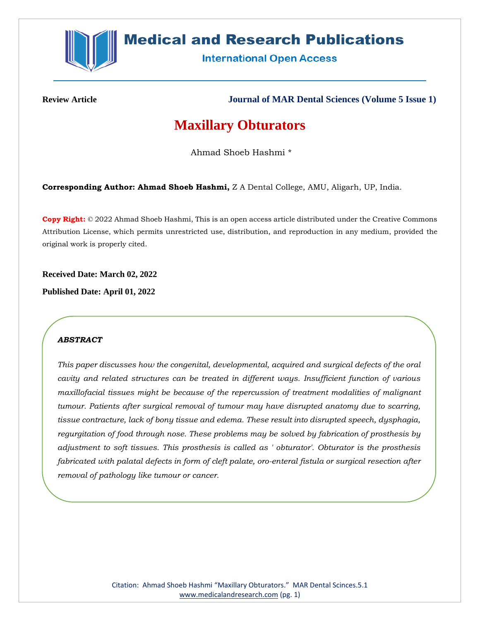

# **Medical and Research Publications**

**International Open Access** 

**Review Article Journal of MAR Dental Sciences (Volume 5 Issue 1)**

# **Maxillary Obturators**

Ahmad Shoeb Hashmi \*

**Corresponding Author: Ahmad Shoeb Hashmi,** Z A Dental College, AMU, Aligarh, UP, India.

**Copy Right:** © 2022 Ahmad Shoeb Hashmi, This is an open access article distributed under the Creative Commons Attribution License, which permits unrestricted use, distribution, and reproduction in any medium, provided the original work is properly cited.

**Received Date: March 02, 2022**

**Published Date: April 01, 2022**

#### *ABSTRACT*

*This paper discusses how the congenital, developmental, acquired and surgical defects of the oral cavity and related structures can be treated in different ways. Insufficient function of various maxillofacial tissues might be because of the repercussion of treatment modalities of malignant tumour. Patients after surgical removal of tumour may have disrupted anatomy due to scarring, tissue contracture, lack of bony tissue and edema. These result into disrupted speech, dysphagia, regurgitation of food through nose. These problems may be solved by fabrication of prosthesis by adjustment to soft tissues. This prosthesis is called as ' obturator'. Obturator is the prosthesis fabricated with palatal defects in form of cleft palate, oro-enteral fistula or surgical resection after removal of pathology like tumour or cancer.*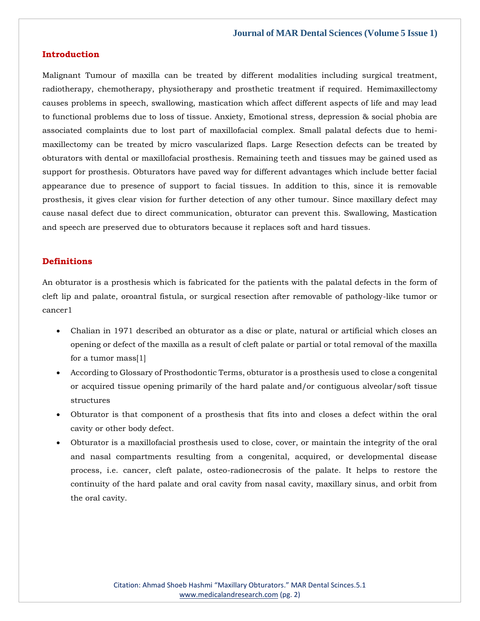## **Introduction**

Malignant Tumour of maxilla can be treated by different modalities including surgical treatment, radiotherapy, chemotherapy, physiotherapy and prosthetic treatment if required. Hemimaxillectomy causes problems in speech, swallowing, mastication which affect different aspects of life and may lead to functional problems due to loss of tissue. Anxiety, Emotional stress, depression & social phobia are associated complaints due to lost part of maxillofacial complex. Small palatal defects due to hemimaxillectomy can be treated by micro vascularized flaps. Large Resection defects can be treated by obturators with dental or maxillofacial prosthesis. Remaining teeth and tissues may be gained used as support for prosthesis. Obturators have paved way for different advantages which include better facial appearance due to presence of support to facial tissues. In addition to this, since it is removable prosthesis, it gives clear vision for further detection of any other tumour. Since maxillary defect may cause nasal defect due to direct communication, obturator can prevent this. Swallowing, Mastication and speech are preserved due to obturators because it replaces soft and hard tissues.

#### **Definitions**

An obturator is a prosthesis which is fabricated for the patients with the palatal defects in the form of cleft lip and palate, oroantral fistula, or surgical resection after removable of pathology-like tumor or cancer1

- Chalian in 1971 described an obturator as a disc or plate, natural or artificial which closes an opening or defect of the maxilla as a result of cleft palate or partial or total removal of the maxilla for a tumor mass[1]
- According to Glossary of Prosthodontic Terms, obturator is a prosthesis used to close a congenital or acquired tissue opening primarily of the hard palate and/or contiguous alveolar/soft tissue structures
- Obturator is that component of a prosthesis that fits into and closes a defect within the oral cavity or other body defect.
- Obturator is a maxillofacial prosthesis used to close, cover, or maintain the integrity of the oral and nasal compartments resulting from a congenital, acquired, or developmental disease process, i.e. cancer, cleft palate, osteo-radionecrosis of the palate. It helps to restore the continuity of the hard palate and oral cavity from nasal cavity, maxillary sinus, and orbit from the oral cavity.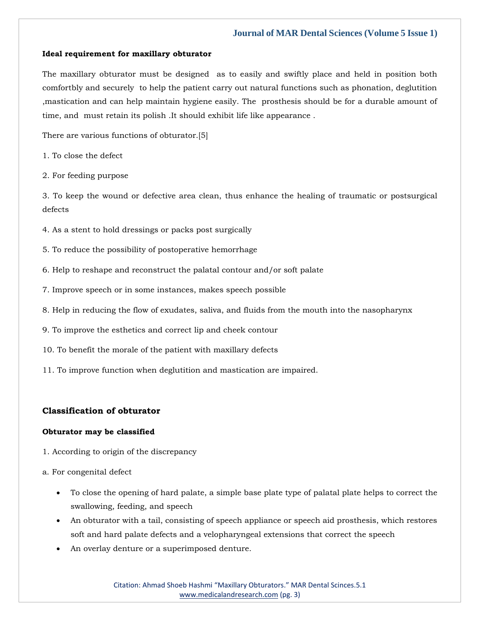## **Ideal requirement for maxillary obturator**

The maxillary obturator must be designed as to easily and swiftly place and held in position both comfortbly and securely to help the patient carry out natural functions such as phonation, deglutition ,mastication and can help maintain hygiene easily. The prosthesis should be for a durable amount of time, and must retain its polish .It should exhibit life like appearance .

There are various functions of obturator.[5]

1. To close the defect

2. For feeding purpose

3. To keep the wound or defective area clean, thus enhance the healing of traumatic or postsurgical defects

- 4. As a stent to hold dressings or packs post surgically
- 5. To reduce the possibility of postoperative hemorrhage
- 6. Help to reshape and reconstruct the palatal contour and/or soft palate
- 7. Improve speech or in some instances, makes speech possible
- 8. Help in reducing the flow of exudates, saliva, and fluids from the mouth into the nasopharynx
- 9. To improve the esthetics and correct lip and cheek contour
- 10. To benefit the morale of the patient with maxillary defects
- 11. To improve function when deglutition and mastication are impaired.

## **Classification of obturator**

#### **Obturator may be classified**

1. According to origin of the discrepancy

## a. For congenital defect

- To close the opening of hard palate, a simple base plate type of palatal plate helps to correct the swallowing, feeding, and speech
- An obturator with a tail, consisting of speech appliance or speech aid prosthesis, which restores soft and hard palate defects and a velopharyngeal extensions that correct the speech
- An overlay denture or a superimposed denture.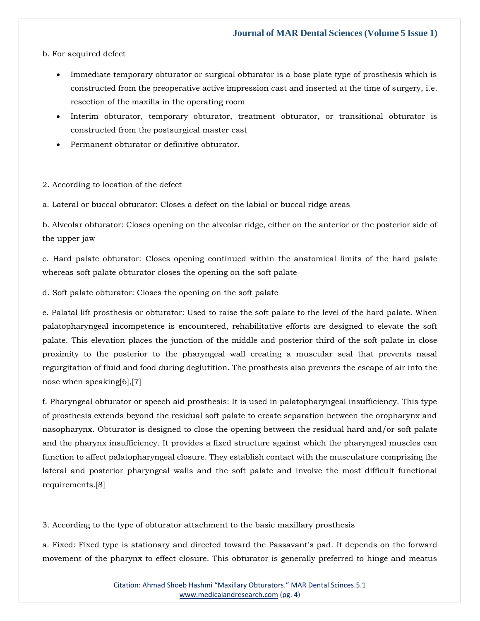b. For acquired defect

- Immediate temporary obturator or surgical obturator is a base plate type of prosthesis which is constructed from the preoperative active impression cast and inserted at the time of surgery, i.e. resection of the maxilla in the operating room
- Interim obturator, temporary obturator, treatment obturator, or transitional obturator is constructed from the postsurgical master cast
- Permanent obturator or definitive obturator.

## 2. According to location of the defect

a. Lateral or buccal obturator: Closes a defect on the labial or buccal ridge areas

b. Alveolar obturator: Closes opening on the alveolar ridge, either on the anterior or the posterior side of the upper jaw

c. Hard palate obturator: Closes opening continued within the anatomical limits of the hard palate whereas soft palate obturator closes the opening on the soft palate

d. Soft palate obturator: Closes the opening on the soft palate

e. Palatal lift prosthesis or obturator: Used to raise the soft palate to the level of the hard palate. When palatopharyngeal incompetence is encountered, rehabilitative efforts are designed to elevate the soft palate. This elevation places the junction of the middle and posterior third of the soft palate in close proximity to the posterior to the pharyngeal wall creating a muscular seal that prevents nasal regurgitation of fluid and food during deglutition. The prosthesis also prevents the escape of air into the nose when speaking[6],[7]

f. Pharyngeal obturator or speech aid prosthesis: It is used in palatopharyngeal insufficiency. This type of prosthesis extends beyond the residual soft palate to create separation between the oropharynx and nasopharynx. Obturator is designed to close the opening between the residual hard and/or soft palate and the pharynx insufficiency. It provides a fixed structure against which the pharyngeal muscles can function to affect palatopharyngeal closure. They establish contact with the musculature comprising the lateral and posterior pharyngeal walls and the soft palate and involve the most difficult functional requirements.[8]

3. According to the type of obturator attachment to the basic maxillary prosthesis

a. Fixed: Fixed type is stationary and directed toward the Passavant's pad. It depends on the forward movement of the pharynx to effect closure. This obturator is generally preferred to hinge and meatus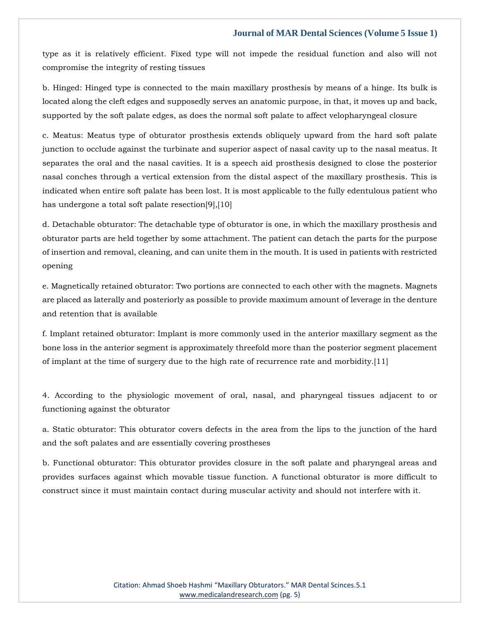type as it is relatively efficient. Fixed type will not impede the residual function and also will not compromise the integrity of resting tissues

b. Hinged: Hinged type is connected to the main maxillary prosthesis by means of a hinge. Its bulk is located along the cleft edges and supposedly serves an anatomic purpose, in that, it moves up and back, supported by the soft palate edges, as does the normal soft palate to affect velopharyngeal closure

c. Meatus: Meatus type of obturator prosthesis extends obliquely upward from the hard soft palate junction to occlude against the turbinate and superior aspect of nasal cavity up to the nasal meatus. It separates the oral and the nasal cavities. It is a speech aid prosthesis designed to close the posterior nasal conches through a vertical extension from the distal aspect of the maxillary prosthesis. This is indicated when entire soft palate has been lost. It is most applicable to the fully edentulous patient who has undergone a total soft palate resection[9],[10]

d. Detachable obturator: The detachable type of obturator is one, in which the maxillary prosthesis and obturator parts are held together by some attachment. The patient can detach the parts for the purpose of insertion and removal, cleaning, and can unite them in the mouth. It is used in patients with restricted opening

e. Magnetically retained obturator: Two portions are connected to each other with the magnets. Magnets are placed as laterally and posteriorly as possible to provide maximum amount of leverage in the denture and retention that is available

f. Implant retained obturator: Implant is more commonly used in the anterior maxillary segment as the bone loss in the anterior segment is approximately threefold more than the posterior segment placement of implant at the time of surgery due to the high rate of recurrence rate and morbidity.[11]

4. According to the physiologic movement of oral, nasal, and pharyngeal tissues adjacent to or functioning against the obturator

a. Static obturator: This obturator covers defects in the area from the lips to the junction of the hard and the soft palates and are essentially covering prostheses

b. Functional obturator: This obturator provides closure in the soft palate and pharyngeal areas and provides surfaces against which movable tissue function. A functional obturator is more difficult to construct since it must maintain contact during muscular activity and should not interfere with it.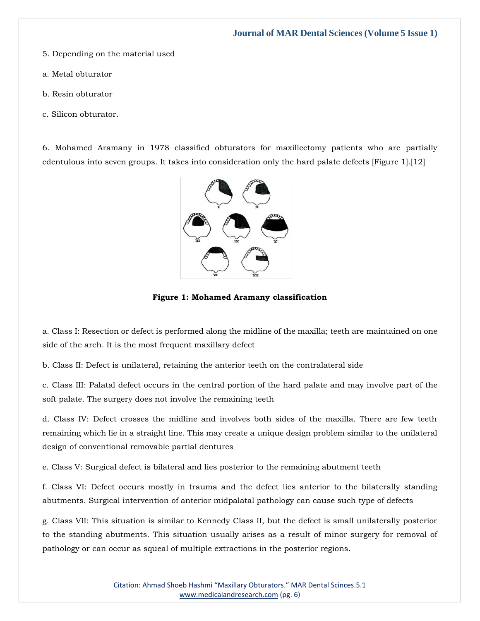- 5. Depending on the material used
- a. Metal obturator
- b. Resin obturator
- c. Silicon obturator.

6. Mohamed Aramany in 1978 classified obturators for maxillectomy patients who are partially edentulous into seven groups. It takes into consideration only the hard palate defects [Figure 1].[12]



**Figure 1: Mohamed Aramany classification**

a. Class I: Resection or defect is performed along the midline of the maxilla; teeth are maintained on one side of the arch. It is the most frequent maxillary defect

b. Class II: Defect is unilateral, retaining the anterior teeth on the contralateral side

c. Class III: Palatal defect occurs in the central portion of the hard palate and may involve part of the soft palate. The surgery does not involve the remaining teeth

d. Class IV: Defect crosses the midline and involves both sides of the maxilla. There are few teeth remaining which lie in a straight line. This may create a unique design problem similar to the unilateral design of conventional removable partial dentures

e. Class V: Surgical defect is bilateral and lies posterior to the remaining abutment teeth

f. Class VI: Defect occurs mostly in trauma and the defect lies anterior to the bilaterally standing abutments. Surgical intervention of anterior midpalatal pathology can cause such type of defects

g. Class VII: This situation is similar to Kennedy Class II, but the defect is small unilaterally posterior to the standing abutments. This situation usually arises as a result of minor surgery for removal of pathology or can occur as squeal of multiple extractions in the posterior regions.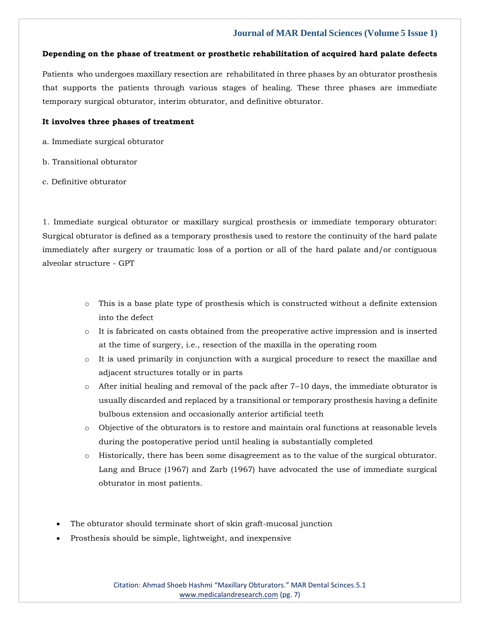#### **Depending on the phase of treatment or prosthetic rehabilitation of acquired hard palate defects**

Patients who undergoes maxillary resection are rehabilitated in three phases by an obturator prosthesis that supports the patients through various stages of healing. These three phases are immediate temporary surgical obturator, interim obturator, and definitive obturator.

#### **It involves three phases of treatment**

- a. Immediate surgical obturator
- b. Transitional obturator
- c. Definitive obturator

1. Immediate surgical obturator or maxillary surgical prosthesis or immediate temporary obturator: Surgical obturator is defined as a temporary prosthesis used to restore the continuity of the hard palate immediately after surgery or traumatic loss of a portion or all of the hard palate and/or contiguous alveolar structure - GPT

- o This is a base plate type of prosthesis which is constructed without a definite extension into the defect
- o It is fabricated on casts obtained from the preoperative active impression and is inserted at the time of surgery, i.e., resection of the maxilla in the operating room
- o It is used primarily in conjunction with a surgical procedure to resect the maxillae and adjacent structures totally or in parts
- $\circ$  After initial healing and removal of the pack after  $7-10$  days, the immediate obturator is usually discarded and replaced by a transitional or temporary prosthesis having a definite bulbous extension and occasionally anterior artificial teeth
- o Objective of the obturators is to restore and maintain oral functions at reasonable levels during the postoperative period until healing is substantially completed
- o Historically, there has been some disagreement as to the value of the surgical obturator. Lang and Bruce (1967) and Zarb (1967) have advocated the use of immediate surgical obturator in most patients.
- The obturator should terminate short of skin graft-mucosal junction
- Prosthesis should be simple, lightweight, and inexpensive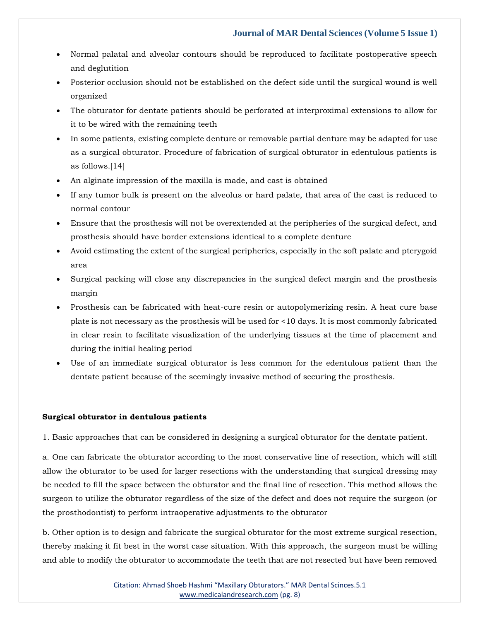- Normal palatal and alveolar contours should be reproduced to facilitate postoperative speech and deglutition
- Posterior occlusion should not be established on the defect side until the surgical wound is well organized
- The obturator for dentate patients should be perforated at interproximal extensions to allow for it to be wired with the remaining teeth
- In some patients, existing complete denture or removable partial denture may be adapted for use as a surgical obturator. Procedure of fabrication of surgical obturator in edentulous patients is as follows.[14]
- An alginate impression of the maxilla is made, and cast is obtained
- If any tumor bulk is present on the alveolus or hard palate, that area of the cast is reduced to normal contour
- Ensure that the prosthesis will not be overextended at the peripheries of the surgical defect, and prosthesis should have border extensions identical to a complete denture
- Avoid estimating the extent of the surgical peripheries, especially in the soft palate and pterygoid area
- Surgical packing will close any discrepancies in the surgical defect margin and the prosthesis margin
- Prosthesis can be fabricated with heat-cure resin or autopolymerizing resin. A heat cure base plate is not necessary as the prosthesis will be used for <10 days. It is most commonly fabricated in clear resin to facilitate visualization of the underlying tissues at the time of placement and during the initial healing period
- Use of an immediate surgical obturator is less common for the edentulous patient than the dentate patient because of the seemingly invasive method of securing the prosthesis.

#### **Surgical obturator in dentulous patients**

1. Basic approaches that can be considered in designing a surgical obturator for the dentate patient.

a. One can fabricate the obturator according to the most conservative line of resection, which will still allow the obturator to be used for larger resections with the understanding that surgical dressing may be needed to fill the space between the obturator and the final line of resection. This method allows the surgeon to utilize the obturator regardless of the size of the defect and does not require the surgeon (or the prosthodontist) to perform intraoperative adjustments to the obturator

b. Other option is to design and fabricate the surgical obturator for the most extreme surgical resection, thereby making it fit best in the worst case situation. With this approach, the surgeon must be willing and able to modify the obturator to accommodate the teeth that are not resected but have been removed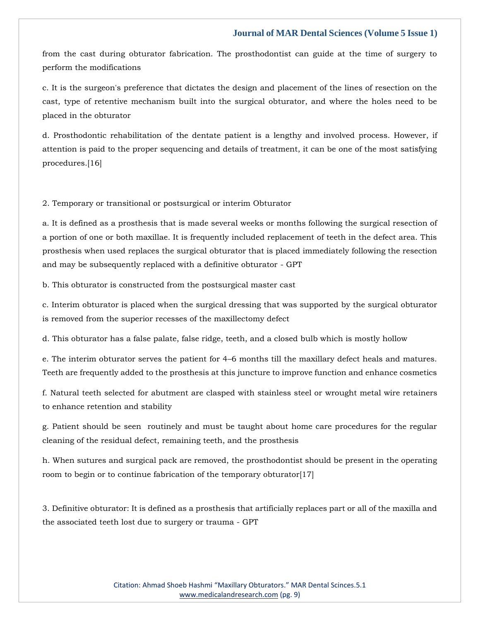from the cast during obturator fabrication. The prosthodontist can guide at the time of surgery to perform the modifications

c. It is the surgeon's preference that dictates the design and placement of the lines of resection on the cast, type of retentive mechanism built into the surgical obturator, and where the holes need to be placed in the obturator

d. Prosthodontic rehabilitation of the dentate patient is a lengthy and involved process. However, if attention is paid to the proper sequencing and details of treatment, it can be one of the most satisfying procedures.[16]

2. Temporary or transitional or postsurgical or interim Obturator

a. It is defined as a prosthesis that is made several weeks or months following the surgical resection of a portion of one or both maxillae. It is frequently included replacement of teeth in the defect area. This prosthesis when used replaces the surgical obturator that is placed immediately following the resection and may be subsequently replaced with a definitive obturator - GPT

b. This obturator is constructed from the postsurgical master cast

c. Interim obturator is placed when the surgical dressing that was supported by the surgical obturator is removed from the superior recesses of the maxillectomy defect

d. This obturator has a false palate, false ridge, teeth, and a closed bulb which is mostly hollow

e. The interim obturator serves the patient for 4–6 months till the maxillary defect heals and matures. Teeth are frequently added to the prosthesis at this juncture to improve function and enhance cosmetics

f. Natural teeth selected for abutment are clasped with stainless steel or wrought metal wire retainers to enhance retention and stability

g. Patient should be seen routinely and must be taught about home care procedures for the regular cleaning of the residual defect, remaining teeth, and the prosthesis

h. When sutures and surgical pack are removed, the prosthodontist should be present in the operating room to begin or to continue fabrication of the temporary obturator[17]

3. Definitive obturator: It is defined as a prosthesis that artificially replaces part or all of the maxilla and the associated teeth lost due to surgery or trauma - GPT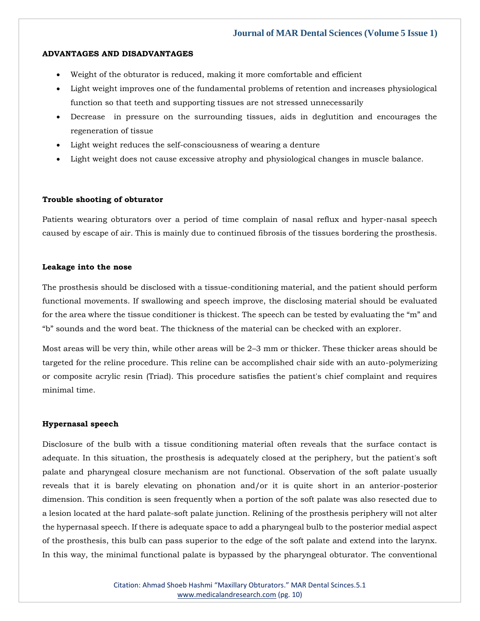#### **ADVANTAGES AND DISADVANTAGES**

- Weight of the obturator is reduced, making it more comfortable and efficient
- Light weight improves one of the fundamental problems of retention and increases physiological function so that teeth and supporting tissues are not stressed unnecessarily
- Decrease in pressure on the surrounding tissues, aids in deglutition and encourages the regeneration of tissue
- Light weight reduces the self-consciousness of wearing a denture
- Light weight does not cause excessive atrophy and physiological changes in muscle balance.

#### **Trouble shooting of obturator**

Patients wearing obturators over a period of time complain of nasal reflux and hyper-nasal speech caused by escape of air. This is mainly due to continued fibrosis of the tissues bordering the prosthesis.

#### **Leakage into the nose**

The prosthesis should be disclosed with a tissue-conditioning material, and the patient should perform functional movements. If swallowing and speech improve, the disclosing material should be evaluated for the area where the tissue conditioner is thickest. The speech can be tested by evaluating the "m" and "b" sounds and the word beat. The thickness of the material can be checked with an explorer.

Most areas will be very thin, while other areas will be 2–3 mm or thicker. These thicker areas should be targeted for the reline procedure. This reline can be accomplished chair side with an auto-polymerizing or composite acrylic resin (Triad). This procedure satisfies the patient's chief complaint and requires minimal time.

#### **Hypernasal speech**

Disclosure of the bulb with a tissue conditioning material often reveals that the surface contact is adequate. In this situation, the prosthesis is adequately closed at the periphery, but the patient's soft palate and pharyngeal closure mechanism are not functional. Observation of the soft palate usually reveals that it is barely elevating on phonation and/or it is quite short in an anterior-posterior dimension. This condition is seen frequently when a portion of the soft palate was also resected due to a lesion located at the hard palate-soft palate junction. Relining of the prosthesis periphery will not alter the hypernasal speech. If there is adequate space to add a pharyngeal bulb to the posterior medial aspect of the prosthesis, this bulb can pass superior to the edge of the soft palate and extend into the larynx. In this way, the minimal functional palate is bypassed by the pharyngeal obturator. The conventional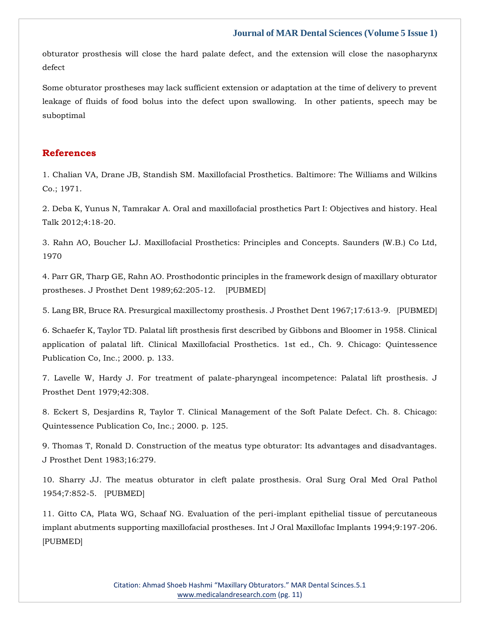obturator prosthesis will close the hard palate defect, and the extension will close the nasopharynx defect

Some obturator prostheses may lack sufficient extension or adaptation at the time of delivery to prevent leakage of fluids of food bolus into the defect upon swallowing. In other patients, speech may be suboptimal

# **References**

[1. Chalian VA, Drane JB, Standish SM. Maxillofacial Prosthetics. Baltimore: The Williams and Wilkins](https://uk.search.yahoo.com/search?fr=mcafee&type=E211GB885G0&p=Baltimore%3A+The+Williams+and+Wilkins)  [Co.; 1971.](https://uk.search.yahoo.com/search?fr=mcafee&type=E211GB885G0&p=Baltimore%3A+The+Williams+and+Wilkins) 

2. [Deba K, Yunus N, Tamrakar A. Oral and maxillofacial prosthetics Part I: Objectives and history. Heal](https://uk.search.yahoo.com/search;_ylt=Awr9J.1E7CpimnQA9p8M34lQ;_ylc=X1MDMTM1MTIxMjgxMgRfcgMyBGZyA21jYWZlZQRmcjIDc2ItdG9wBGdwcmlkAzhHUktGbEUxVFNDckxUYXE1N2FET0EEbl9yc2x0AzAEbl9zdWdnAzAEb3JpZ2luA3VrLnNlYXJjaC55YWhvby5jb20EcG9zAzAEcHFzdHIDBHBxc3RybAMwBHFzdHJsAzY1BHF1ZXJ5A09yYWwlMjBhbmQlMjBtYXhpbGxvZmFjaWFsJTIwcHJvc3RoZXRpY3MlMjBQYXJ0JTIwSSUzQSUyME9iamVjdGl2ZXMlMjBhbmQlMjBoaXN0b3J5BHRfc3RtcAMxNjQ2OTgwMTg0?p=Oral+and+maxillofacial+prosthetics+Part+I%3A+Objectives+and+history&fr2=sb-top&fr=mcafee&type=E211GB885G0)  [Talk 2012;4:18-20.](https://uk.search.yahoo.com/search;_ylt=Awr9J.1E7CpimnQA9p8M34lQ;_ylc=X1MDMTM1MTIxMjgxMgRfcgMyBGZyA21jYWZlZQRmcjIDc2ItdG9wBGdwcmlkAzhHUktGbEUxVFNDckxUYXE1N2FET0EEbl9yc2x0AzAEbl9zdWdnAzAEb3JpZ2luA3VrLnNlYXJjaC55YWhvby5jb20EcG9zAzAEcHFzdHIDBHBxc3RybAMwBHFzdHJsAzY1BHF1ZXJ5A09yYWwlMjBhbmQlMjBtYXhpbGxvZmFjaWFsJTIwcHJvc3RoZXRpY3MlMjBQYXJ0JTIwSSUzQSUyME9iamVjdGl2ZXMlMjBhbmQlMjBoaXN0b3J5BHRfc3RtcAMxNjQ2OTgwMTg0?p=Oral+and+maxillofacial+prosthetics+Part+I%3A+Objectives+and+history&fr2=sb-top&fr=mcafee&type=E211GB885G0) 

3. [Rahn AO, Boucher LJ. Maxillofacial Prosthetics: Principles and Concepts. Saunders \(W.B.\) Co Ltd,](https://uk.search.yahoo.com/search;_ylt=Awr9J.9Y7CpiEPsAt1EM34lQ;_ylc=X1MDMTM1MTIxMjgxMgRfcgMyBGZyA21jYWZlZQRmcjIDc2ItdG9wBGdwcmlkA3E2RmV3Q19iUzhLMDhQaDBEekQ3SUEEbl9yc2x0AzAEbl9zdWdnAzQEb3JpZ2luA3VrLnNlYXJjaC55YWhvby5jb20EcG9zAzAEcHFzdHIDBHBxc3RybAMwBHFzdHJsAzUwBHF1ZXJ5A01heGlsbG9mYWNpYWwlMjBQcm9zdGhldGljcyUzQSUyMFByaW5jaXBsZXMlMjBhbmQlMjBDb25jZXB0cwR0X3N0bXADMTY0Njk4MDIyNg--?p=Maxillofacial+Prosthetics%3A+Principles+and+Concepts&fr2=sb-top&fr=mcafee&type=E211GB885G0)  [1970](https://uk.search.yahoo.com/search;_ylt=Awr9J.9Y7CpiEPsAt1EM34lQ;_ylc=X1MDMTM1MTIxMjgxMgRfcgMyBGZyA21jYWZlZQRmcjIDc2ItdG9wBGdwcmlkA3E2RmV3Q19iUzhLMDhQaDBEekQ3SUEEbl9yc2x0AzAEbl9zdWdnAzQEb3JpZ2luA3VrLnNlYXJjaC55YWhvby5jb20EcG9zAzAEcHFzdHIDBHBxc3RybAMwBHFzdHJsAzUwBHF1ZXJ5A01heGlsbG9mYWNpYWwlMjBQcm9zdGhldGljcyUzQSUyMFByaW5jaXBsZXMlMjBhbmQlMjBDb25jZXB0cwR0X3N0bXADMTY0Njk4MDIyNg--?p=Maxillofacial+Prosthetics%3A+Principles+and+Concepts&fr2=sb-top&fr=mcafee&type=E211GB885G0) 

4. [Parr GR, Tharp GE, Rahn AO. Prosthodontic principles in the framework design of maxillary obturator](https://uk.search.yahoo.com/search;_ylt=AwrgBFCB7CpiRXoAyQAM34lQ;_ylc=X1MDMTM1MTIxMjgxMgRfcgMyBGZyA21jYWZlZQRmcjIDc2ItdG9wBGdwcmlkA19BQVhTT3VFVDQ2bzR4emMuZXBYRkEEbl9yc2x0AzAEbl9zdWdnAzEEb3JpZ2luA3VrLnNlYXJjaC55YWhvby5jb20EcG9zAzAEcHFzdHIDBHBxc3RybAMwBHFzdHJsAzgyBHF1ZXJ5A1Byb3N0aG9kb250aWMlMjBwcmluY2lwbGVzJTIwaW4lMjB0aGUlMjBmcmFtZXdvcmslMjBkZXNpZ24lMjBvZiUyMG1heGlsbGFyeSUyMG9idHVyYXRvciUyMHByb3N0aGVzZXMEdF9zdG1wAzE2NDY5ODAyNDk-?p=Prosthodontic+principles+in+the+framework+design+of+maxillary+obturator+prostheses&fr2=sb-top&fr=mcafee&type=E211GB885G0)  [prostheses. J Prosthet Dent 1989;62:205-12. \[PUBMED\]](https://uk.search.yahoo.com/search;_ylt=AwrgBFCB7CpiRXoAyQAM34lQ;_ylc=X1MDMTM1MTIxMjgxMgRfcgMyBGZyA21jYWZlZQRmcjIDc2ItdG9wBGdwcmlkA19BQVhTT3VFVDQ2bzR4emMuZXBYRkEEbl9yc2x0AzAEbl9zdWdnAzEEb3JpZ2luA3VrLnNlYXJjaC55YWhvby5jb20EcG9zAzAEcHFzdHIDBHBxc3RybAMwBHFzdHJsAzgyBHF1ZXJ5A1Byb3N0aG9kb250aWMlMjBwcmluY2lwbGVzJTIwaW4lMjB0aGUlMjBmcmFtZXdvcmslMjBkZXNpZ24lMjBvZiUyMG1heGlsbGFyeSUyMG9idHVyYXRvciUyMHByb3N0aGVzZXMEdF9zdG1wAzE2NDY5ODAyNDk-?p=Prosthodontic+principles+in+the+framework+design+of+maxillary+obturator+prostheses&fr2=sb-top&fr=mcafee&type=E211GB885G0) 

5. [Lang BR, Bruce RA. Presurgical maxillectomy prosthesis. J Prosthet Dent 1967;17:613-9. \[PUBMED\]](https://uk.search.yahoo.com/search;_ylt=AwrT4o.Z7CpixfQA8zMM34lQ;_ylc=X1MDMTM1MTIxMjgxMgRfcgMyBGZyA21jYWZlZQRmcjIDc2ItdG9wBGdwcmlkA3E5Q2YzaGZfUTZlTlR2RFg3empLaUEEbl9yc2x0AzAEbl9zdWdnAzQEb3JpZ2luA3VrLnNlYXJjaC55YWhvby5jb20EcG9zAzAEcHFzdHIDBHBxc3RybAMwBHFzdHJsAzM1BHF1ZXJ5A1ByZXN1cmdpY2FsJTIwbWF4aWxsZWN0b215JTIwcHJvc3RoZXNpcwR0X3N0bXADMTY0Njk4MDI2Ng--?p=Presurgical+maxillectomy+prosthesis&fr2=sb-top&fr=mcafee&type=E211GB885G0)

6. [Schaefer K, Taylor TD. Palatal lift prosthesis first described by Gibbons and Bloomer in 1958. Clinical](https://uk.search.yahoo.com/search;_ylt=Awr9KKyq7CpiJNoAC2oM34lQ;_ylc=X1MDMTM1MTIxMjgxMgRfcgMyBGZyA21jYWZlZQRmcjIDc2ItdG9wBGdwcmlkA1pzaU5qUzl6UWRXNU01MXFRTDNJdEEEbl9yc2x0AzAEbl9zdWdnAzAEb3JpZ2luA3VrLnNlYXJjaC55YWhvby5jb20EcG9zAzAEcHFzdHIDBHBxc3RybAMwBHFzdHJsAzEwOARxdWVyeQNQYWxhdGFsJTIwbGlmdCUyMHByb3N0aGVzaXMlMjBmaXJzdCUyMGRlc2NyaWJlZCUyMGJ5JTIwR2liYm9ucyUyMGFuZCUyMEJsb29tZXIlMjBpbiUyMDE5NTguJTIwQ2xpbmljYWwlMjBhcHBsaWNhdGlvbiUyMG9mJTIwcGFsYXRhbCUyMGxpZnQEdF9zdG1wAzE2NDY5ODAzMDk-?p=Palatal+lift+prosthesis+first+described+by+Gibbons+and+Bloomer+in+1958.+Clinical+application+of+palatal+lift&fr2=sb-top&fr=mcafee&type=E211GB885G0)  [application of palatal lift. Clinical Maxillofacial Prosthetics. 1st ed., Ch. 9. Chicago: Quintessence](https://uk.search.yahoo.com/search;_ylt=Awr9KKyq7CpiJNoAC2oM34lQ;_ylc=X1MDMTM1MTIxMjgxMgRfcgMyBGZyA21jYWZlZQRmcjIDc2ItdG9wBGdwcmlkA1pzaU5qUzl6UWRXNU01MXFRTDNJdEEEbl9yc2x0AzAEbl9zdWdnAzAEb3JpZ2luA3VrLnNlYXJjaC55YWhvby5jb20EcG9zAzAEcHFzdHIDBHBxc3RybAMwBHFzdHJsAzEwOARxdWVyeQNQYWxhdGFsJTIwbGlmdCUyMHByb3N0aGVzaXMlMjBmaXJzdCUyMGRlc2NyaWJlZCUyMGJ5JTIwR2liYm9ucyUyMGFuZCUyMEJsb29tZXIlMjBpbiUyMDE5NTguJTIwQ2xpbmljYWwlMjBhcHBsaWNhdGlvbiUyMG9mJTIwcGFsYXRhbCUyMGxpZnQEdF9zdG1wAzE2NDY5ODAzMDk-?p=Palatal+lift+prosthesis+first+described+by+Gibbons+and+Bloomer+in+1958.+Clinical+application+of+palatal+lift&fr2=sb-top&fr=mcafee&type=E211GB885G0)  [Publication Co, Inc.; 2000. p. 133.](https://uk.search.yahoo.com/search;_ylt=Awr9KKyq7CpiJNoAC2oM34lQ;_ylc=X1MDMTM1MTIxMjgxMgRfcgMyBGZyA21jYWZlZQRmcjIDc2ItdG9wBGdwcmlkA1pzaU5qUzl6UWRXNU01MXFRTDNJdEEEbl9yc2x0AzAEbl9zdWdnAzAEb3JpZ2luA3VrLnNlYXJjaC55YWhvby5jb20EcG9zAzAEcHFzdHIDBHBxc3RybAMwBHFzdHJsAzEwOARxdWVyeQNQYWxhdGFsJTIwbGlmdCUyMHByb3N0aGVzaXMlMjBmaXJzdCUyMGRlc2NyaWJlZCUyMGJ5JTIwR2liYm9ucyUyMGFuZCUyMEJsb29tZXIlMjBpbiUyMDE5NTguJTIwQ2xpbmljYWwlMjBhcHBsaWNhdGlvbiUyMG9mJTIwcGFsYXRhbCUyMGxpZnQEdF9zdG1wAzE2NDY5ODAzMDk-?p=Palatal+lift+prosthesis+first+described+by+Gibbons+and+Bloomer+in+1958.+Clinical+application+of+palatal+lift&fr2=sb-top&fr=mcafee&type=E211GB885G0) 

7. [Lavelle W, Hardy J. For treatment of palate-pharyngeal incompetence: Palatal lift prosthesis. J](https://uk.search.yahoo.com/search;_ylt=Awr4xLDU7CpiZS4ARS4M34lQ;_ylc=X1MDMTM1MTIxMjgxMgRfcgMyBGZyA21jYWZlZQRmcjIDc2ItdG9wBGdwcmlkAy5JQkYxQUVtUlIyRmFoS0M5LkFzWEEEbl9yc2x0AzAEbl9zdWdnAzAEb3JpZ2luA3VrLnNlYXJjaC55YWhvby5jb20EcG9zAzAEcHFzdHIDBHBxc3RybAMwBHFzdHJsAzcyBHF1ZXJ5A0ZvciUyMHRyZWF0bWVudCUyMG9mJTIwcGFsYXRlLXBoYXJ5bmdlYWwlMjBpbmNvbXBldGVuY2UlM0ElMjBQYWxhdGFsJTIwbGlmdCUyMHByb3N0aGVzaXMEdF9zdG1wAzE2NDY5ODAzMjY-?p=For+treatment+of+palate-pharyngeal+incompetence%3A+Palatal+lift+prosthesis&fr2=sb-top&fr=mcafee&type=E211GB885G0)  [Prosthet Dent 1979;42:308.](https://uk.search.yahoo.com/search;_ylt=Awr4xLDU7CpiZS4ARS4M34lQ;_ylc=X1MDMTM1MTIxMjgxMgRfcgMyBGZyA21jYWZlZQRmcjIDc2ItdG9wBGdwcmlkAy5JQkYxQUVtUlIyRmFoS0M5LkFzWEEEbl9yc2x0AzAEbl9zdWdnAzAEb3JpZ2luA3VrLnNlYXJjaC55YWhvby5jb20EcG9zAzAEcHFzdHIDBHBxc3RybAMwBHFzdHJsAzcyBHF1ZXJ5A0ZvciUyMHRyZWF0bWVudCUyMG9mJTIwcGFsYXRlLXBoYXJ5bmdlYWwlMjBpbmNvbXBldGVuY2UlM0ElMjBQYWxhdGFsJTIwbGlmdCUyMHByb3N0aGVzaXMEdF9zdG1wAzE2NDY5ODAzMjY-?p=For+treatment+of+palate-pharyngeal+incompetence%3A+Palatal+lift+prosthesis&fr2=sb-top&fr=mcafee&type=E211GB885G0) 

8. [Eckert S, Desjardins R, Taylor T. Clinical Management of the Soft Palate Defect. Ch. 8. Chicago:](https://uk.search.yahoo.com/search;_ylt=AwrTYlfl7Cpi.dIAk3UM34lQ;_ylc=X1MDMTM1MTIxMjgxMgRfcgMyBGZyA21jYWZlZQRmcjIDc2ItdG9wBGdwcmlkA2loZlA3LmJYUS5LZkloQlRoT0RWaUEEbl9yc2x0AzAEbl9zdWdnAzQEb3JpZ2luA3VrLnNlYXJjaC55YWhvby5jb20EcG9zAzAEcHFzdHIDBHBxc3RybAMwBHFzdHJsAzQ1BHF1ZXJ5A0NsaW5pY2FsJTIwTWFuYWdlbWVudCUyMG9mJTIwdGhlJTIwU29mdCUyMFBhbGF0ZSUyMERlZmVjdAR0X3N0bXADMTY0Njk4MDM1Mw--?p=Clinical+Management+of+the+Soft+Palate+Defect&fr2=sb-top&fr=mcafee&type=E211GB885G0)  [Quintessence Publication Co, Inc.; 2000. p. 125.](https://uk.search.yahoo.com/search;_ylt=AwrTYlfl7Cpi.dIAk3UM34lQ;_ylc=X1MDMTM1MTIxMjgxMgRfcgMyBGZyA21jYWZlZQRmcjIDc2ItdG9wBGdwcmlkA2loZlA3LmJYUS5LZkloQlRoT0RWaUEEbl9yc2x0AzAEbl9zdWdnAzQEb3JpZ2luA3VrLnNlYXJjaC55YWhvby5jb20EcG9zAzAEcHFzdHIDBHBxc3RybAMwBHFzdHJsAzQ1BHF1ZXJ5A0NsaW5pY2FsJTIwTWFuYWdlbWVudCUyMG9mJTIwdGhlJTIwU29mdCUyMFBhbGF0ZSUyMERlZmVjdAR0X3N0bXADMTY0Njk4MDM1Mw--?p=Clinical+Management+of+the+Soft+Palate+Defect&fr2=sb-top&fr=mcafee&type=E211GB885G0) 

9. [Thomas T, Ronald D. Construction of the meatus type obturator: Its advantages and disadvantages.](https://uk.search.yahoo.com/search;_ylt=Awr9F5gB7SpirpAAvcMM34lQ;_ylc=X1MDMTM1MTIxMjgxMgRfcgMyBGZyA21jYWZlZQRmcjIDc2ItdG9wBGdwcmlkA2t3M2NQVlhBVE5HdkxhVEdOSUI3WEEEbl9yc2x0AzAEbl9zdWdnAzAEb3JpZ2luA3VrLnNlYXJjaC55YWhvby5jb20EcG9zAzAEcHFzdHIDBHBxc3RybAMwBHFzdHJsAzc1BHF1ZXJ5A0NvbnN0cnVjdGlvbiUyMG9mJTIwdGhlJTIwbWVhdHVzJTIwdHlwZSUyMG9idHVyYXRvciUzQSUyMEl0cyUyMGFkdmFudGFnZXMlMjBhbmQlMjBkaXNhZHZhbnRhZ2VzBHRfc3RtcAMxNjQ2OTgwMzY3?p=Construction+of+the+meatus+type+obturator%3A+Its+advantages+and+disadvantages&fr2=sb-top&fr=mcafee&type=E211GB885G0) [J Prosthet Dent 1983;16:279.](https://uk.search.yahoo.com/search;_ylt=Awr9F5gB7SpirpAAvcMM34lQ;_ylc=X1MDMTM1MTIxMjgxMgRfcgMyBGZyA21jYWZlZQRmcjIDc2ItdG9wBGdwcmlkA2t3M2NQVlhBVE5HdkxhVEdOSUI3WEEEbl9yc2x0AzAEbl9zdWdnAzAEb3JpZ2luA3VrLnNlYXJjaC55YWhvby5jb20EcG9zAzAEcHFzdHIDBHBxc3RybAMwBHFzdHJsAzc1BHF1ZXJ5A0NvbnN0cnVjdGlvbiUyMG9mJTIwdGhlJTIwbWVhdHVzJTIwdHlwZSUyMG9idHVyYXRvciUzQSUyMEl0cyUyMGFkdmFudGFnZXMlMjBhbmQlMjBkaXNhZHZhbnRhZ2VzBHRfc3RtcAMxNjQ2OTgwMzY3?p=Construction+of+the+meatus+type+obturator%3A+Its+advantages+and+disadvantages&fr2=sb-top&fr=mcafee&type=E211GB885G0) 

10. Sharry JJ. The meatus obturator [in cleft palate prosthesis. Oral Surg Oral Med Oral Pathol](https://uk.search.yahoo.com/search;_ylt=AwrgEa4P7SpiWVgAnF4M34lQ;_ylc=X1MDMTM1MTIxMjgxMgRfcgMyBGZyA21jYWZlZQRmcjIDc2ItdG9wBGdwcmlkA1BrakgxcDhHVFlTZVBGLm9kUnFOWEEEbl9yc2x0AzAEbl9zdWdnAzQEb3JpZ2luA3VrLnNlYXJjaC55YWhvby5jb20EcG9zAzAEcHFzdHIDBHBxc3RybAMwBHFzdHJsAzQ3BHF1ZXJ5A1RoZSUyMG1lYXR1cyUyMG9idHVyYXRvciUyMGluJTIwY2xlZnQlMjBwYWxhdGUlMjBwcm9zdGhlc2lzBHRfc3RtcAMxNjQ2OTgwMzk4?p=The+meatus+obturator+in+cleft+palate+prosthesis&fr2=sb-top&fr=mcafee&type=E211GB885G0)  [1954;7:852-5. \[PUBMED\]](https://uk.search.yahoo.com/search;_ylt=AwrgEa4P7SpiWVgAnF4M34lQ;_ylc=X1MDMTM1MTIxMjgxMgRfcgMyBGZyA21jYWZlZQRmcjIDc2ItdG9wBGdwcmlkA1BrakgxcDhHVFlTZVBGLm9kUnFOWEEEbl9yc2x0AzAEbl9zdWdnAzQEb3JpZ2luA3VrLnNlYXJjaC55YWhvby5jb20EcG9zAzAEcHFzdHIDBHBxc3RybAMwBHFzdHJsAzQ3BHF1ZXJ5A1RoZSUyMG1lYXR1cyUyMG9idHVyYXRvciUyMGluJTIwY2xlZnQlMjBwYWxhdGUlMjBwcm9zdGhlc2lzBHRfc3RtcAMxNjQ2OTgwMzk4?p=The+meatus+obturator+in+cleft+palate+prosthesis&fr2=sb-top&fr=mcafee&type=E211GB885G0) 

[11. Gitto CA, Plata WG, Schaaf NG. Evaluation of the peri-implant epithelial tissue of percutaneous](https://uk.search.yahoo.com/search;_ylt=Awr9J.cu7SpicEEAY4EM34lQ;_ylc=X1MDMTM1MTIxMjgxMgRfcgMyBGZyA21jYWZlZQRmcjIDc2ItdG9wBGdwcmlkAzdBUFlOazZsVGgyaVlJdGtYTV9uckEEbl9yc2x0AzAEbl9zdWdnAzAEb3JpZ2luA3VrLnNlYXJjaC55YWhvby5jb20EcG9zAzAEcHFzdHIDBHBxc3RybAMwBHFzdHJsAzExOARxdWVyeQNFdmFsdWF0aW9uJTIwb2YlMjB0aGUlMjBwZXJpLWltcGxhbnQlMjBlcGl0aGVsaWFsJTIwdGlzc3VlJTIwb2YlMjBwZXJjdXRhbmVvdXMlMjBpbXBsYW50JTIwYWJ1dG1lbnRzJTIwc3VwcG9ydGluZyUyMG1heGlsbG9mYWNpYWwlMjBwcm9zdGhlc2VzBHRfc3RtcAMxNjQ2OTgwNDE5?p=Evaluation+of+the+peri-implant+epithelial+tissue+of+percutaneous+implant+abutments+supporting+maxillofacial+prostheses&fr2=sb-top&fr=mcafee&type=E211GB885G0)  [implant abutments supporting maxillofacial prostheses. Int J Oral Maxillofac Implants 1994;9:197-206.](https://uk.search.yahoo.com/search;_ylt=Awr9J.cu7SpicEEAY4EM34lQ;_ylc=X1MDMTM1MTIxMjgxMgRfcgMyBGZyA21jYWZlZQRmcjIDc2ItdG9wBGdwcmlkAzdBUFlOazZsVGgyaVlJdGtYTV9uckEEbl9yc2x0AzAEbl9zdWdnAzAEb3JpZ2luA3VrLnNlYXJjaC55YWhvby5jb20EcG9zAzAEcHFzdHIDBHBxc3RybAMwBHFzdHJsAzExOARxdWVyeQNFdmFsdWF0aW9uJTIwb2YlMjB0aGUlMjBwZXJpLWltcGxhbnQlMjBlcGl0aGVsaWFsJTIwdGlzc3VlJTIwb2YlMjBwZXJjdXRhbmVvdXMlMjBpbXBsYW50JTIwYWJ1dG1lbnRzJTIwc3VwcG9ydGluZyUyMG1heGlsbG9mYWNpYWwlMjBwcm9zdGhlc2VzBHRfc3RtcAMxNjQ2OTgwNDE5?p=Evaluation+of+the+peri-implant+epithelial+tissue+of+percutaneous+implant+abutments+supporting+maxillofacial+prostheses&fr2=sb-top&fr=mcafee&type=E211GB885G0)  [\[PUBMED\]](https://uk.search.yahoo.com/search;_ylt=Awr9J.cu7SpicEEAY4EM34lQ;_ylc=X1MDMTM1MTIxMjgxMgRfcgMyBGZyA21jYWZlZQRmcjIDc2ItdG9wBGdwcmlkAzdBUFlOazZsVGgyaVlJdGtYTV9uckEEbl9yc2x0AzAEbl9zdWdnAzAEb3JpZ2luA3VrLnNlYXJjaC55YWhvby5jb20EcG9zAzAEcHFzdHIDBHBxc3RybAMwBHFzdHJsAzExOARxdWVyeQNFdmFsdWF0aW9uJTIwb2YlMjB0aGUlMjBwZXJpLWltcGxhbnQlMjBlcGl0aGVsaWFsJTIwdGlzc3VlJTIwb2YlMjBwZXJjdXRhbmVvdXMlMjBpbXBsYW50JTIwYWJ1dG1lbnRzJTIwc3VwcG9ydGluZyUyMG1heGlsbG9mYWNpYWwlMjBwcm9zdGhlc2VzBHRfc3RtcAMxNjQ2OTgwNDE5?p=Evaluation+of+the+peri-implant+epithelial+tissue+of+percutaneous+implant+abutments+supporting+maxillofacial+prostheses&fr2=sb-top&fr=mcafee&type=E211GB885G0)